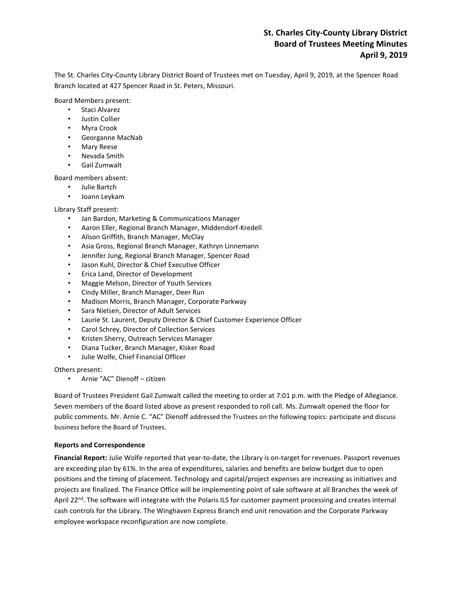# **St. Charles City-County Library District Board of Trustees Meeting Minutes April 9, 2019**

The St. Charles City-County Library District Board of Trustees met on Tuesday, April 9, 2019, at the Spencer Road Branch located at 427 Spencer Road in St. Peters, Missouri.

Board Members present:

- Staci Alvarez
- Justin Collier
- Myra Crook
- Georganne MacNab
- Mary Reese
- Nevada Smith
- Gail Zumwalt

Board members absent:

- Julie Bartch
- Joann Leykam

Library Staff present:

- Jan Bardon, Marketing & Communications Manager
- Aaron Eller, Regional Branch Manager, Middendorf-Kredell
- Alison Griffith, Branch Manager, McClay
- Asia Gross, Regional Branch Manager, Kathryn Linnemann
- Jennifer Jung, Regional Branch Manager, Spencer Road
- Jason Kuhl, Director & Chief Executive Officer
- Erica Land, Director of Development
- Maggie Melson, Director of Youth Services
- Cindy Miller, Branch Manager, Deer Run
- Madison Morris, Branch Manager, Corporate Parkway
- Sara Nielsen, Director of Adult Services
- Laurie St. Laurent, Deputy Director & Chief Customer Experience Officer
- Carol Schrey, Director of Collection Services
- Kristen Sherry, Outreach Services Manager
- Diana Tucker, Branch Manager, Kisker Road
- Julie Wolfe, Chief Financial Officer

Others present:

• Arnie "AC" Dienoff – citizen

Board of Trustees President Gail Zumwalt called the meeting to order at 7:01 p.m. with the Pledge of Allegiance. Seven members of the Board listed above as present responded to roll call. Ms. Zumwalt opened the floor for public comments. Mr. Arnie C. "AC" Dienoff addressed the Trustees on the following topics: participate and discuss business before the Board of Trustees.

## **Reports and Correspondence**

**Financial Report:** Julie Wolfe reported that year-to-date, the Library is on-target for revenues. Passport revenues are exceeding plan by 61%. In the area of expenditures, salaries and benefits are below budget due to open positions and the timing of placement. Technology and capital/project expenses are increasing as initiatives and projects are finalized. The Finance Office will be implementing point of sale software at all Branches the week of April 22<sup>nd</sup>. The software will integrate with the Polaris ILS for customer payment processing and creates internal cash controls for the Library. The Winghaven Express Branch end unit renovation and the Corporate Parkway employee workspace reconfiguration are now complete.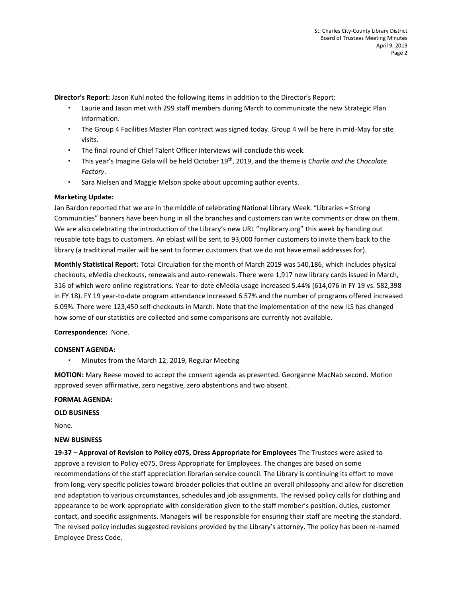**Director's Report:** Jason Kuhl noted the following items in addition to the Director's Report:

- Laurie and Jason met with 299 staff members during March to communicate the new Strategic Plan information.
- The Group 4 Facilities Master Plan contract was signed today. Group 4 will be here in mid-May for site visits.
- The final round of Chief Talent Officer interviews will conclude this week.
- This year's Imagine Gala will be held October 19th, 2019, and the theme is *Charlie and the Chocolate Factory*.
- Sara Nielsen and Maggie Melson spoke about upcoming author events.

## **Marketing Update:**

Jan Bardon reported that we are in the middle of celebrating National Library Week. "Libraries = Strong Communities" banners have been hung in all the branches and customers can write comments or draw on them. We are also celebrating the introduction of the Library's new URL "mylibrary.org" this week by handing out reusable tote bags to customers. An eblast will be sent to 93,000 former customers to invite them back to the library (a traditional mailer will be sent to former customers that we do not have email addresses for).

**Monthly Statistical Report:** Total Circulation for the month of March 2019 was 540,186, which includes physical checkouts, eMedia checkouts, renewals and auto-renewals. There were 1,917 new library cards issued in March, 316 of which were online registrations. Year-to-date eMedia usage increased 5.44% (614,076 in FY 19 vs. 582,398 in FY 18). FY 19 year-to-date program attendance increased 6.57% and the number of programs offered increased 6.09%. There were 123,450 self-checkouts in March. Note that the implementation of the new ILS has changed how some of our statistics are collected and some comparisons are currently not available.

## **Correspondence:** None.

## **CONSENT AGENDA:**

Minutes from the March 12, 2019, Regular Meeting

**MOTION:** Mary Reese moved to accept the consent agenda as presented. Georganne MacNab second. Motion approved seven affirmative, zero negative, zero abstentions and two absent.

## **FORMAL AGENDA:**

## **OLD BUSINESS**

None.

### **NEW BUSINESS**

**19-37 – Approval of Revision to Policy e075, Dress Appropriate for Employees** The Trustees were asked to approve a revision to Policy e075, Dress Appropriate for Employees. The changes are based on some recommendations of the staff appreciation librarian service council. The Library is continuing its effort to move from long, very specific policies toward broader policies that outline an overall philosophy and allow for discretion and adaptation to various circumstances, schedules and job assignments. The revised policy calls for clothing and appearance to be work-appropriate with consideration given to the staff member's position, duties, customer contact, and specific assignments. Managers will be responsible for ensuring their staff are meeting the standard. The revised policy includes suggested revisions provided by the Library's attorney. The policy has been re-named Employee Dress Code.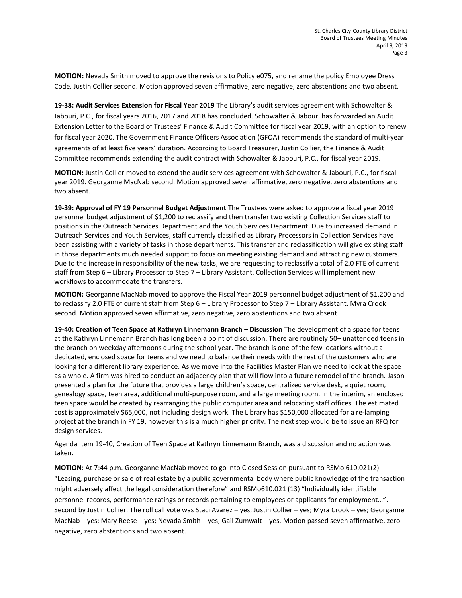**MOTION:** Nevada Smith moved to approve the revisions to Policy e075, and rename the policy Employee Dress Code. Justin Collier second. Motion approved seven affirmative, zero negative, zero abstentions and two absent.

**19-38: Audit Services Extension for Fiscal Year 2019** The Library's audit services agreement with Schowalter & Jabouri, P.C., for fiscal years 2016, 2017 and 2018 has concluded. Schowalter & Jabouri has forwarded an Audit Extension Letter to the Board of Trustees' Finance & Audit Committee for fiscal year 2019, with an option to renew for fiscal year 2020. The Government Finance Officers Association (GFOA) recommends the standard of multi-year agreements of at least five years' duration. According to Board Treasurer, Justin Collier, the Finance & Audit Committee recommends extending the audit contract with Schowalter & Jabouri, P.C., for fiscal year 2019.

**MOTION:** Justin Collier moved to extend the audit services agreement with Schowalter & Jabouri, P.C., for fiscal year 2019. Georganne MacNab second. Motion approved seven affirmative, zero negative, zero abstentions and two absent.

**19-39: Approval of FY 19 Personnel Budget Adjustment** The Trustees were asked to approve a fiscal year 2019 personnel budget adjustment of \$1,200 to reclassify and then transfer two existing Collection Services staff to positions in the Outreach Services Department and the Youth Services Department. Due to increased demand in Outreach Services and Youth Services, staff currently classified as Library Processors in Collection Services have been assisting with a variety of tasks in those departments. This transfer and reclassification will give existing staff in those departments much needed support to focus on meeting existing demand and attracting new customers. Due to the increase in responsibility of the new tasks, we are requesting to reclassify a total of 2.0 FTE of current staff from Step 6 – Library Processor to Step 7 – Library Assistant. Collection Services will implement new workflows to accommodate the transfers.

**MOTION:** Georganne MacNab moved to approve the Fiscal Year 2019 personnel budget adjustment of \$1,200 and to reclassify 2.0 FTE of current staff from Step 6 – Library Processor to Step 7 – Library Assistant. Myra Crook second. Motion approved seven affirmative, zero negative, zero abstentions and two absent.

**19-40: Creation of Teen Space at Kathryn Linnemann Branch – Discussion** The development of a space for teens at the Kathryn Linnemann Branch has long been a point of discussion. There are routinely 50+ unattended teens in the branch on weekday afternoons during the school year. The branch is one of the few locations without a dedicated, enclosed space for teens and we need to balance their needs with the rest of the customers who are looking for a different library experience. As we move into the Facilities Master Plan we need to look at the space as a whole. A firm was hired to conduct an adjacency plan that will flow into a future remodel of the branch. Jason presented a plan for the future that provides a large children's space, centralized service desk, a quiet room, genealogy space, teen area, additional multi-purpose room, and a large meeting room. In the interim, an enclosed teen space would be created by rearranging the public computer area and relocating staff offices. The estimated cost is approximately \$65,000, not including design work. The Library has \$150,000 allocated for a re-lamping project at the branch in FY 19, however this is a much higher priority. The next step would be to issue an RFQ for design services.

Agenda Item 19-40, Creation of Teen Space at Kathryn Linnemann Branch, was a discussion and no action was taken.

**MOTION**: At 7:44 p.m. Georganne MacNab moved to go into Closed Session pursuant to RSMo 610.021(2) "Leasing, purchase or sale of real estate by a public governmental body where public knowledge of the transaction might adversely affect the legal consideration therefore" and RSMo610.021 (13) "Individually identifiable personnel records, performance ratings or records pertaining to employees or applicants for employment…". Second by Justin Collier. The roll call vote was Staci Avarez – yes; Justin Collier – yes; Myra Crook – yes; Georganne MacNab – yes; Mary Reese – yes; Nevada Smith – yes; Gail Zumwalt – yes. Motion passed seven affirmative, zero negative, zero abstentions and two absent.